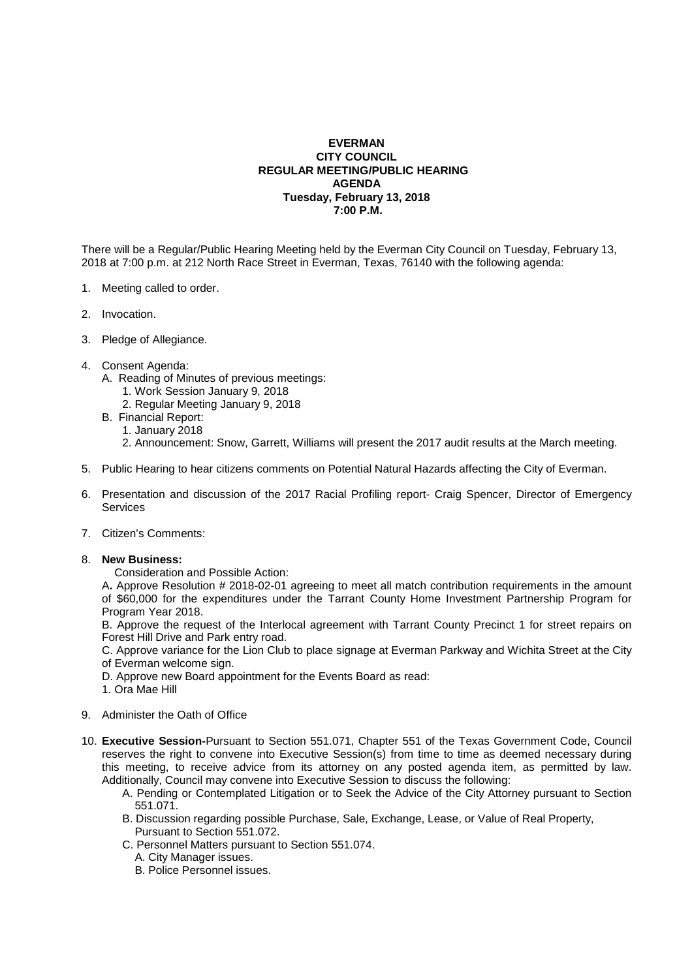## **EVERMAN CITY COUNCIL REGULAR MEETING/PUBLIC HEARING AGENDA Tuesday, February 13, 2018 7:00 P.M.**

There will be a Regular/Public Hearing Meeting held by the Everman City Council on Tuesday, February 13, 2018 at 7:00 p.m. at 212 North Race Street in Everman, Texas, 76140 with the following agenda:

- 1. Meeting called to order.
- 2. Invocation.
- 3. Pledge of Allegiance.
- 4. Consent Agenda:
	- A. Reading of Minutes of previous meetings:
		- 1. Work Session January 9, 2018
		- 2. Regular Meeting January 9, 2018
	- B. Financial Report:
		- 1. January 2018
		- 2. Announcement: Snow, Garrett, Williams will present the 2017 audit results at the March meeting.
- 5. Public Hearing to hear citizens comments on Potential Natural Hazards affecting the City of Everman.
- 6. Presentation and discussion of the 2017 Racial Profiling report- Craig Spencer, Director of Emergency **Services**
- 7. Citizen's Comments:

## 8. **New Business:**

Consideration and Possible Action:

 A**.** Approve Resolution # 2018-02-01 agreeing to meet all match contribution requirements in the amount of \$60,000 for the expenditures under the Tarrant County Home Investment Partnership Program for Program Year 2018.

 B. Approve the request of the Interlocal agreement with Tarrant County Precinct 1 for street repairs on Forest Hill Drive and Park entry road.

 C. Approve variance for the Lion Club to place signage at Everman Parkway and Wichita Street at the City of Everman welcome sign.

- D. Approve new Board appointment for the Events Board as read:
- 1. Ora Mae Hill
- 9. Administer the Oath of Office
- 10. **Executive Session-**Pursuant to Section 551.071, Chapter 551 of the Texas Government Code, Council reserves the right to convene into Executive Session(s) from time to time as deemed necessary during this meeting, to receive advice from its attorney on any posted agenda item, as permitted by law. Additionally, Council may convene into Executive Session to discuss the following:
	- A. Pending or Contemplated Litigation or to Seek the Advice of the City Attorney pursuant to Section 551.071.
	- B. Discussion regarding possible Purchase, Sale, Exchange, Lease, or Value of Real Property, Pursuant to Section 551.072.
	- C. Personnel Matters pursuant to Section 551.074.
		- A. City Manager issues.
		- B. Police Personnel issues.